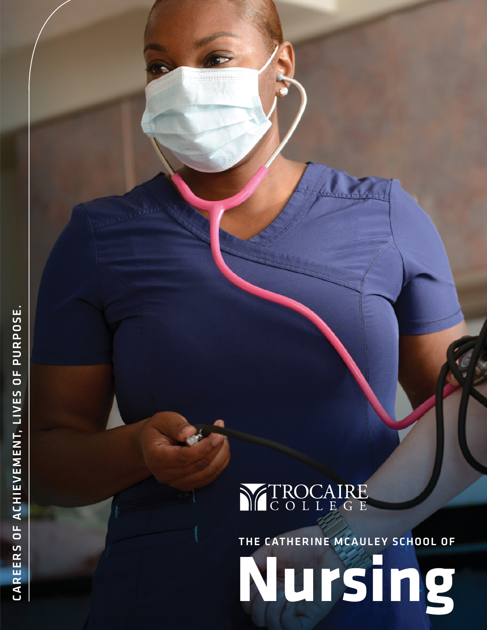

THE CATHERINE MCAULEY SCHOOL OF

**Nursing**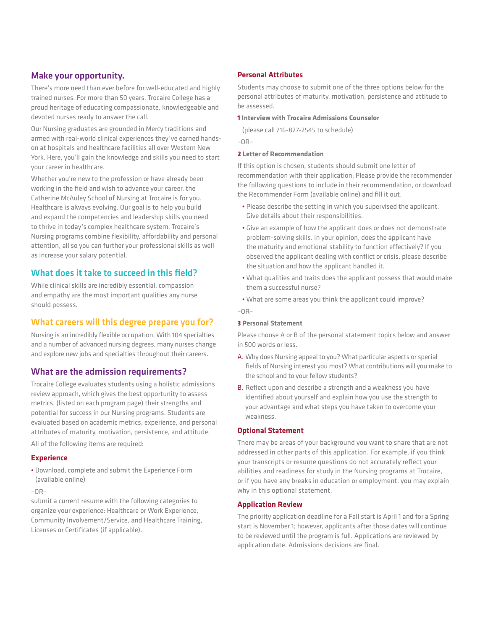### Make your opportunity.

There's more need than ever before for well-educated and highly trained nurses. For more than 50 years, Trocaire College has a proud heritage of educating compassionate, knowledgeable and devoted nurses ready to answer the call.

Our Nursing graduates are grounded in Mercy traditions and armed with real-world clinical experiences they've earned handson at hospitals and healthcare facilities all over Western New York. Here, you'll gain the knowledge and skills you need to start your career in healthcare.

Whether you're new to the profession or have already been working in the field and wish to advance your career, the Catherine McAuley School of Nursing at Trocaire is for you. Healthcare is always evolving. Our goal is to help you build and expand the competencies and leadership skills you need to thrive in today's complex healthcare system. Trocaire's Nursing programs combine flexibility, affordability and personal attention, all so you can further your professional skills as well as increase your salary potential.

### What does it take to succeed in this field?

While clinical skills are incredibly essential, compassion and empathy are the most important qualities any nurse should possess.

### What careers will this degree prepare you for?

Nursing is an incredibly flexible occupation. With 104 specialties and a number of advanced nursing degrees, many nurses change and explore new jobs and specialties throughout their careers.

### What are the admission requirements?

Trocaire College evaluates students using a holistic admissions review approach, which gives the best opportunity to assess metrics, (listed on each program page) their strengths and potential for success in our Nursing programs. Students are evaluated based on academic metrics, experience, and personal attributes of maturity, motivation, persistence, and attitude.

All of the following items are required:

#### **Experience**

• Download, complete and submit the Experience Form (available online)

–OR–

submit a current resume with the following categories to organize your experience: Healthcare or Work Experience, Community Involvement/Service, and Healthcare Training, Licenses or Certificates (if applicable).

#### **Personal Attributes**

Students may choose to submit one of the three options below for the personal attributes of maturity, motivation, persistence and attitude to be assessed.

#### **1 Interview with Trocaire Admissions Counselor**

(please call 716-827-2545 to schedule)

–OR–

#### **2 Letter of Recommendation**

If this option is chosen, students should submit one letter of recommendation with their application. Please provide the recommender the following questions to include in their recommendation, or download the Recommender Form (available online) and fill it out.

- Please describe the setting in which you supervised the applicant. Give details about their responsibilities.
- Give an example of how the applicant does or does not demonstrate problem-solving skills. In your opinion, does the applicant have the maturity and emotional stability to function effectively? If you observed the applicant dealing with conflict or crisis, please describe the situation and how the applicant handled it.
- What qualities and traits does the applicant possess that would make them a successful nurse?
- What are some areas you think the applicant could improve?

 $-$ nR $-$ 

#### **3 Personal Statement**

Please choose A or B of the personal statement topics below and answer in 500 words or less.

- A. Why does Nursing appeal to you? What particular aspects or special fields of Nursing interest you most? What contributions will you make to the school and to your fellow students?
- B. Reflect upon and describe a strength and a weakness you have identified about yourself and explain how you use the strength to your advantage and what steps you have taken to overcome your weakness.

#### **Optional Statement**

There may be areas of your background you want to share that are not addressed in other parts of this application. For example, if you think your transcripts or resume questions do not accurately reflect your abilities and readiness for study in the Nursing programs at Trocaire, or if you have any breaks in education or employment, you may explain why in this optional statement.

#### **Application Review**

The priority application deadline for a Fall start is April 1 and for a Spring start is November 1; however, applicants after those dates will continue to be reviewed until the program is full. Applications are reviewed by application date. Admissions decisions are final.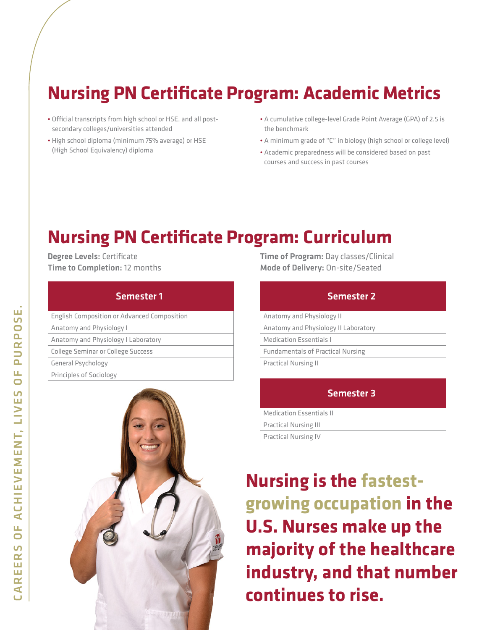# **Nursing PN Certificate Program: Academic Metrics**

- Official transcripts from high school or HSE, and all postsecondary colleges/universities attended
- High school diploma (minimum 75% average) or HSE (High School Equivalency) diploma
- A cumulative college-level Grade Point Average (GPA) of 2.5 is the benchmark
- A minimum grade of "C" in biology (high school or college level)
- Academic preparedness will be considered based on past courses and success in past courses

# **Nursing PN Certificate Program: Curriculum**

Degree Levels: Certificate Time to Completion: 12 months

### Semester 1

| <b>English Composition or Advanced Composition</b> |
|----------------------------------------------------|
| Anatomy and Physiology I                           |
| Anatomy and Physiology I Laboratory                |
| College Seminar or College Success                 |
| General Psychology                                 |
| Principles of Sociology                            |
|                                                    |



Time of Program: Day classes/Clinical Mode of Delivery: On-site/Seated

| <b>Semester 2</b>                        |
|------------------------------------------|
| Anatomy and Physiology II                |
| Anatomy and Physiology II Laboratory     |
| <b>Medication Essentials I</b>           |
| <b>Fundamentals of Practical Nursing</b> |
| <b>Practical Nursing II</b>              |
|                                          |
| <b>Semester 3</b>                        |
| <b>Medication Essentials II</b>          |
| .                                        |

| Practical Nursing III |
|-----------------------|
| Practical Nursing IV  |

**Nursing is the fastestgrowing occupation in the U.S. Nurses make up the majority of the healthcare industry, and that number continues to rise.**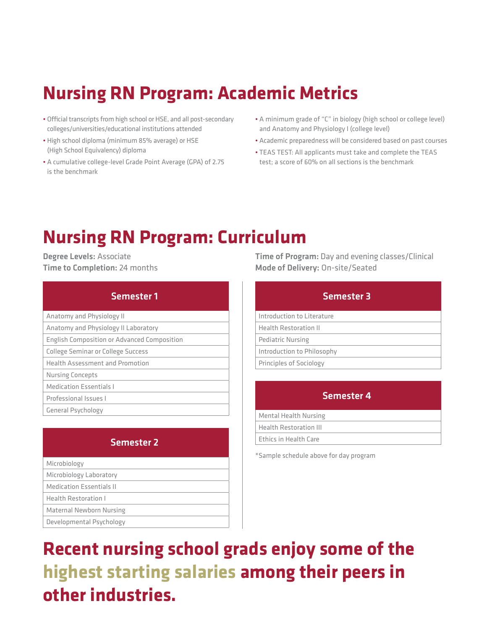# **Nursing RN Program: Academic Metrics**

- Official transcripts from high school or HSE, and all post-secondary colleges/universities/educational institutions attended
- High school diploma (minimum 85% average) or HSE (High School Equivalency) diploma
- A cumulative college-level Grade Point Average (GPA) of 2.75 is the benchmark
- A minimum grade of "C" in biology (high school or college level) and Anatomy and Physiology I (college level)
- Academic preparedness will be considered based on past courses
- TEAS TEST: All applicants must take and complete the TEAS test; a score of 60% on all sections is the benchmark

## **Nursing RN Program: Curriculum**

Degree Levels: Associate Time to Completion: 24 months

| Semester 1                                         |
|----------------------------------------------------|
| Anatomy and Physiology II                          |
| Anatomy and Physiology II Laboratory               |
| <b>English Composition or Advanced Composition</b> |
| College Seminar or College Success                 |
| <b>Health Assessment and Promotion</b>             |
| <b>Nursing Concepts</b>                            |
| <b>Medication Essentials I</b>                     |
| Professional Issues I                              |
| <b>General Psychology</b>                          |

| <b>Semester 2</b>               |
|---------------------------------|
| Microbiology                    |
| Microbiology Laboratory         |
| <b>Medication Essentials II</b> |
| <b>Health Restoration I</b>     |
| Maternal Newborn Nursing        |
| Developmental Psychology        |

Time of Program: Day and evening classes/Clinical Mode of Delivery: On-site/Seated

| <b>Semester 3</b>            |
|------------------------------|
| Introduction to Literature   |
| <b>Health Restoration II</b> |
| <b>Pediatric Nursing</b>     |
| Introduction to Philosophy   |
| Principles of Sociology      |
|                              |

| <b>Semester 4</b>             |
|-------------------------------|
| <b>Mental Health Nursing</b>  |
| <b>Health Restoration III</b> |
| Ethics in Health Care         |
|                               |

\*Sample schedule above for day program

**Recent nursing school grads enjoy some of the highest starting salaries among their peers in other industries.**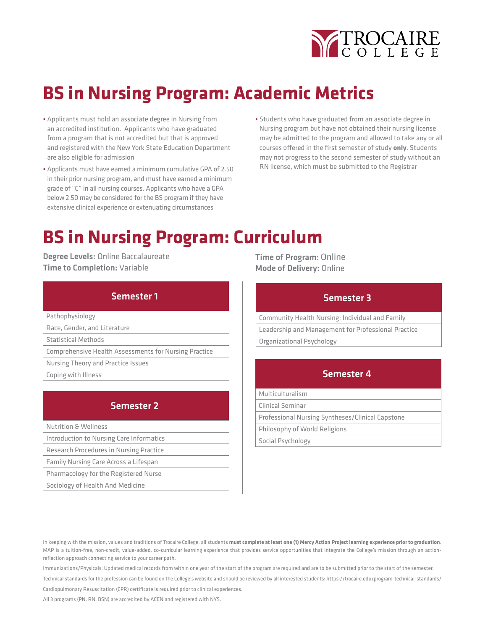

# **BS in Nursing Program: Academic Metrics**

- Applicants must hold an associate degree in Nursing from an accredited institution. Applicants who have graduated from a program that is not accredited but that is approved and registered with the New York State Education Department are also eligible for admission
- Applicants must have earned a minimum cumulative GPA of 2.50 in their prior nursing program, and must have earned a minimum grade of "C" in all nursing courses. Applicants who have a GPA below 2.50 may be considered for the BS program if they have extensive clinical experience or extenuating circumstances
- Students who have graduated from an associate degree in Nursing program but have not obtained their nursing license may be admitted to the program and allowed to take any or all courses offered in the first semester of study **only**. Students may not progress to the second semester of study without an RN license, which must be submitted to the Registrar

## **BS in Nursing Program: Curriculum**

Degree Levels: Online Baccalaureate Time to Completion: Variable

| Semester 1                                            |
|-------------------------------------------------------|
| Pathophysiology                                       |
| Race, Gender, and Literature                          |
| Statistical Methods                                   |
| Comprehensive Health Assessments for Nursing Practice |
| Nursing Theory and Practice Issues                    |
| Coping with Illness                                   |
|                                                       |
|                                                       |

### Semester 2

| <b>Nutrition &amp; Wellness</b>          |
|------------------------------------------|
| Introduction to Nursing Care Informatics |
| Research Procedures in Nursing Practice  |
| Family Nursing Care Across a Lifespan    |
| Pharmacology for the Registered Nurse    |
| Sociology of Health And Medicine         |

Time of Program: Online Mode of Delivery: Online

| <b>Semester 3</b>                                   |  |
|-----------------------------------------------------|--|
| Community Health Nursing: Individual and Family     |  |
| Leadership and Management for Professional Practice |  |
| Organizational Psychology                           |  |
| <b>Semester 4</b>                                   |  |
|                                                     |  |
| Multiculturalism                                    |  |
| Clinical Seminar                                    |  |
|                                                     |  |

Professional Nursing Syntheses/Clinical Capstone

Philosophy of World Religions

Social Psychology

In keeping with the mission, values and traditions of Trocaire College, all students **must complete at least one (1) Mercy Action Project learning experience prior to graduation**. MAP is a tuition-free, non-credit, value-added, co-curricular learning experience that provides service opportunities that integrate the College's mission through an actionreflection approach connecting service to your career path.

Immunizations/Physicals: Updated medical records from within one year of the start of the program are required and are to be submitted prior to the start of the semester.

Technical standards for the profession can be found on the College's website and should be reviewed by all interested students: https://trocaire.edu/program-technical-standards/

Cardiopulmonary Resuscitation (CPR) certificate is required prior to clinical experiences.

All 3 programs (PN, RN, BSN) are accredited by ACEN and registered with NYS.